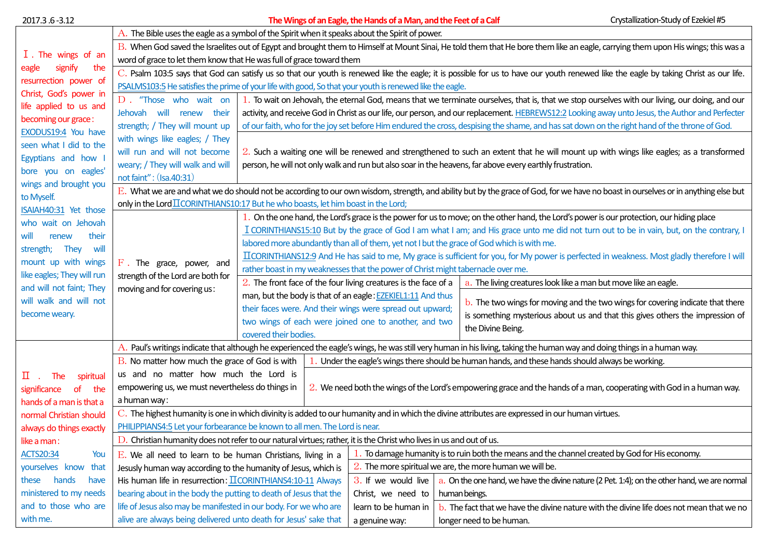| 2017.3 .6 -3.12                             | Crystallization-Study of Ezekiel #5<br>The Wings of an Eagle, the Hands of a Man, and the Feet of a Calf                                                                              |                                                                                                                                               |                                                                                                                     |                                                           |  |                                                                                                                                                                          |  |  |  |  |  |  |  |
|---------------------------------------------|---------------------------------------------------------------------------------------------------------------------------------------------------------------------------------------|-----------------------------------------------------------------------------------------------------------------------------------------------|---------------------------------------------------------------------------------------------------------------------|-----------------------------------------------------------|--|--------------------------------------------------------------------------------------------------------------------------------------------------------------------------|--|--|--|--|--|--|--|
|                                             | $\overline{A}$ . The Bible uses the eagle as a symbol of the Spirit when it speaks about the Spirit of power.                                                                         |                                                                                                                                               |                                                                                                                     |                                                           |  |                                                                                                                                                                          |  |  |  |  |  |  |  |
|                                             | B. When God saved the Israelites out of Egypt and brought them to Himself at Mount Sinai, He told them that He bore them like an eagle, carrying them upon His wings; this was a      |                                                                                                                                               |                                                                                                                     |                                                           |  |                                                                                                                                                                          |  |  |  |  |  |  |  |
| I. The wings of an                          | word of grace to let them know that He was full of grace toward them                                                                                                                  |                                                                                                                                               |                                                                                                                     |                                                           |  |                                                                                                                                                                          |  |  |  |  |  |  |  |
| signify<br>the<br>eagle                     | C. Psalm 103:5 says that God can satisfy us so that our youth is renewed like the eagle; it is possible for us to have our youth renewed like the eagle by taking Christ as our life. |                                                                                                                                               |                                                                                                                     |                                                           |  |                                                                                                                                                                          |  |  |  |  |  |  |  |
| resurrection power of                       | PSALMS103:5 He satisfies the prime of your life with good, So that your youth is renewed like the eagle.                                                                              |                                                                                                                                               |                                                                                                                     |                                                           |  |                                                                                                                                                                          |  |  |  |  |  |  |  |
| Christ, God's power in                      | D. "Those who wait on<br>1. To wait on Jehovah, the eternal God, means that we terminate ourselves, that is, that we stop ourselves with our living, our doing, and our               |                                                                                                                                               |                                                                                                                     |                                                           |  |                                                                                                                                                                          |  |  |  |  |  |  |  |
| life applied to us and                      | activity, and receive God in Christ as our life, our person, and our replacement. HEBREWS12:2 Looking away unto Jesus, the Author and Perfecter<br>Jehovah will renew their           |                                                                                                                                               |                                                                                                                     |                                                           |  |                                                                                                                                                                          |  |  |  |  |  |  |  |
| becoming our grace:                         | strength; / They will mount up<br>of our faith, who for the joy set before Him endured the cross, despising the shame, and has sat down on the right hand of the throne of God.       |                                                                                                                                               |                                                                                                                     |                                                           |  |                                                                                                                                                                          |  |  |  |  |  |  |  |
| EXODUS19:4 You have                         | with wings like eagles; / They                                                                                                                                                        |                                                                                                                                               |                                                                                                                     |                                                           |  |                                                                                                                                                                          |  |  |  |  |  |  |  |
| seen what I did to the                      | 2. Such a waiting one will be renewed and strengthened to such an extent that he will mount up with wings like eagles; as a transformed<br>will run and will not become               |                                                                                                                                               |                                                                                                                     |                                                           |  |                                                                                                                                                                          |  |  |  |  |  |  |  |
| Egyptians and how I                         | person, he will not only walk and run but also soar in the heavens, far above every earthly frustration.<br>weary; / They will walk and will                                          |                                                                                                                                               |                                                                                                                     |                                                           |  |                                                                                                                                                                          |  |  |  |  |  |  |  |
| bore you on eagles'                         | not faint": (Isa.40:31)                                                                                                                                                               |                                                                                                                                               |                                                                                                                     |                                                           |  |                                                                                                                                                                          |  |  |  |  |  |  |  |
| wings and brought you<br>to Myself.         | E. What we are and what we do should not be according to our own wisdom, strength, and ability but by the grace of God, for we have no boast in ourselves or in anything else but     |                                                                                                                                               |                                                                                                                     |                                                           |  |                                                                                                                                                                          |  |  |  |  |  |  |  |
| ISAIAH40:31 Yet those                       | only in the Lord $\overline{L}$ CORINTHIANS10:17 But he who boasts, let him boast in the Lord;                                                                                        |                                                                                                                                               |                                                                                                                     |                                                           |  |                                                                                                                                                                          |  |  |  |  |  |  |  |
| who wait on Jehovah                         | 1. On the one hand, the Lord's grace is the power for us to move; on the other hand, the Lord's power is our protection, our hiding place                                             |                                                                                                                                               |                                                                                                                     |                                                           |  |                                                                                                                                                                          |  |  |  |  |  |  |  |
| their<br>will<br>renew                      |                                                                                                                                                                                       | I CORINTHIANS15:10 But by the grace of God I am what I am; and His grace unto me did not turn out to be in vain, but, on the contrary, I      |                                                                                                                     |                                                           |  |                                                                                                                                                                          |  |  |  |  |  |  |  |
| strength;<br>will<br>They                   |                                                                                                                                                                                       | labored more abundantly than all of them, yet not I but the grace of God which is with me.                                                    |                                                                                                                     |                                                           |  |                                                                                                                                                                          |  |  |  |  |  |  |  |
| mount up with wings                         |                                                                                                                                                                                       | ILCORINTHIANS12:9 And He has said to me, My grace is sufficient for you, for My power is perfected in weakness. Most gladly therefore I will  |                                                                                                                     |                                                           |  |                                                                                                                                                                          |  |  |  |  |  |  |  |
| like eagles; They will run                  | F. The grace, power, and<br>strength of the Lord are both for                                                                                                                         | rather boast in my weaknesses that the power of Christ might tabernacle over me.                                                              |                                                                                                                     |                                                           |  |                                                                                                                                                                          |  |  |  |  |  |  |  |
| and will not faint; They                    | moving and for covering us:                                                                                                                                                           | 2. The front face of the four living creatures is the face of a<br>a. The living creatures look like a man but move like an eagle.            |                                                                                                                     |                                                           |  |                                                                                                                                                                          |  |  |  |  |  |  |  |
| will walk and will not                      |                                                                                                                                                                                       | man, but the body is that of an eagle: EZEKIEL1:11 And thus<br>b. The two wings for moving and the two wings for covering indicate that there |                                                                                                                     |                                                           |  |                                                                                                                                                                          |  |  |  |  |  |  |  |
| become weary.                               |                                                                                                                                                                                       |                                                                                                                                               |                                                                                                                     | their faces were. And their wings were spread out upward; |  | is something mysterious about us and that this gives others the impression of                                                                                            |  |  |  |  |  |  |  |
|                                             |                                                                                                                                                                                       |                                                                                                                                               |                                                                                                                     | two wings of each were joined one to another, and two     |  |                                                                                                                                                                          |  |  |  |  |  |  |  |
|                                             | the Divine Being.<br>covered their bodies.                                                                                                                                            |                                                                                                                                               |                                                                                                                     |                                                           |  |                                                                                                                                                                          |  |  |  |  |  |  |  |
|                                             |                                                                                                                                                                                       |                                                                                                                                               |                                                                                                                     |                                                           |  | A. Paul's writings indicate that although he experienced the eagle's wings, he was still very human in his living, taking the human way and doing things in a human way. |  |  |  |  |  |  |  |
|                                             | B. No matter how much the grace of God is with                                                                                                                                        |                                                                                                                                               |                                                                                                                     |                                                           |  | . Under the eagle's wings there should be human hands, and these hands should always be working.                                                                         |  |  |  |  |  |  |  |
| $\mathbf{\Pi}$ .<br>spiritual<br><b>The</b> | us and no matter how much the Lord is                                                                                                                                                 |                                                                                                                                               |                                                                                                                     |                                                           |  |                                                                                                                                                                          |  |  |  |  |  |  |  |
| <b>of</b><br>the<br>significance            | empowering us, we must nevertheless do things in<br>2. We need both the wings of the Lord's empowering grace and the hands of a man, cooperating with God in a human way.             |                                                                                                                                               |                                                                                                                     |                                                           |  |                                                                                                                                                                          |  |  |  |  |  |  |  |
| hands of a man is that a                    | a human way:                                                                                                                                                                          |                                                                                                                                               |                                                                                                                     |                                                           |  |                                                                                                                                                                          |  |  |  |  |  |  |  |
| normal Christian should                     | C. The highest humanity is one in which divinity is added to our humanity and in which the divine attributes are expressed in our human virtues.                                      |                                                                                                                                               |                                                                                                                     |                                                           |  |                                                                                                                                                                          |  |  |  |  |  |  |  |
| always do things exactly                    | PHILIPPIANS4:5 Let your forbearance be known to all men. The Lord is near.                                                                                                            |                                                                                                                                               |                                                                                                                     |                                                           |  |                                                                                                                                                                          |  |  |  |  |  |  |  |
| like a man:                                 | D. Christian humanity does not refer to our natural virtues; rather, it is the Christ who lives in us and out of us.                                                                  |                                                                                                                                               |                                                                                                                     |                                                           |  |                                                                                                                                                                          |  |  |  |  |  |  |  |
| <b>ACTS20:34</b><br>You                     | . To damage humanity is to ruin both the means and the channel created by God for His economy.<br>E. We all need to learn to be human Christians, living in a                         |                                                                                                                                               |                                                                                                                     |                                                           |  |                                                                                                                                                                          |  |  |  |  |  |  |  |
| yourselves know<br>that                     | Jesusly human way according to the humanity of Jesus, which is                                                                                                                        |                                                                                                                                               | 2. The more spiritual we are, the more human we will be.                                                            |                                                           |  |                                                                                                                                                                          |  |  |  |  |  |  |  |
| hands<br>these<br>have                      | His human life in resurrection: $\overline{L}$ CORINTHIANS4:10-11 Always                                                                                                              |                                                                                                                                               | a. On the one hand, we have the divine nature (2 Pet. 1:4); on the other hand, we are normal<br>3. If we would live |                                                           |  |                                                                                                                                                                          |  |  |  |  |  |  |  |
| ministered to my needs                      | bearing about in the body the putting to death of Jesus that the                                                                                                                      |                                                                                                                                               |                                                                                                                     | Christ, we need to                                        |  | human beings.                                                                                                                                                            |  |  |  |  |  |  |  |
| and to those who are                        |                                                                                                                                                                                       | life of Jesus also may be manifested in our body. For we who are                                                                              |                                                                                                                     |                                                           |  | b. The fact that we have the divine nature with the divine life does not mean that we no                                                                                 |  |  |  |  |  |  |  |
| with me.                                    | alive are always being delivered unto death for Jesus' sake that                                                                                                                      |                                                                                                                                               |                                                                                                                     | a genuine way:                                            |  | longer need to be human.                                                                                                                                                 |  |  |  |  |  |  |  |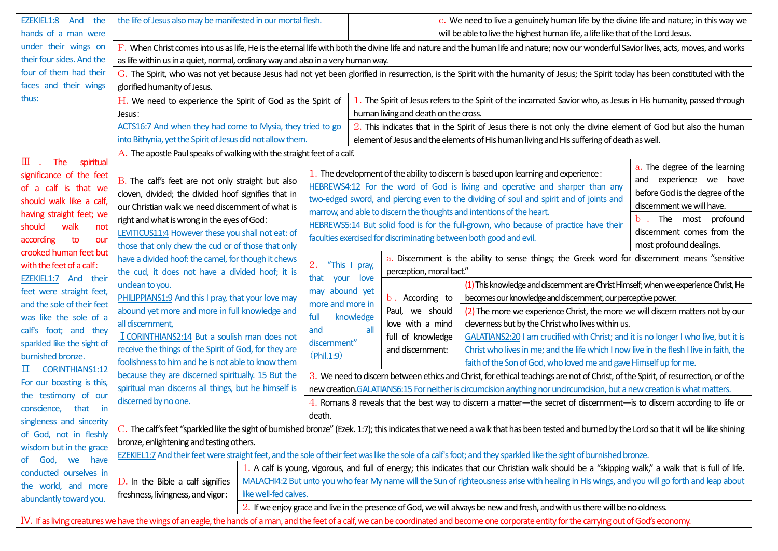| And the<br>EZEKIEL1:8                                                                                                                                                                              | the life of Jesus also may be manifested in our mortal flesh.                                                                                                                                                                                                                                                            |                                                                                                                              |                                                                                                                                                                                                            | c. We need to live a genuinely human life by the divine life and nature; in this way we        |                                                                                         |                            |  |  |  |  |  |
|----------------------------------------------------------------------------------------------------------------------------------------------------------------------------------------------------|--------------------------------------------------------------------------------------------------------------------------------------------------------------------------------------------------------------------------------------------------------------------------------------------------------------------------|------------------------------------------------------------------------------------------------------------------------------|------------------------------------------------------------------------------------------------------------------------------------------------------------------------------------------------------------|------------------------------------------------------------------------------------------------|-----------------------------------------------------------------------------------------|----------------------------|--|--|--|--|--|
| hands of a man were                                                                                                                                                                                |                                                                                                                                                                                                                                                                                                                          |                                                                                                                              | will be able to live the highest human life, a life like that of the Lord Jesus.                                                                                                                           |                                                                                                |                                                                                         |                            |  |  |  |  |  |
| under their wings on                                                                                                                                                                               | F. When Christ comes into us as life, He is the eternal life with both the divine life and nature and the human life and nature; now our wonderful Savior lives, acts, moves, and works                                                                                                                                  |                                                                                                                              |                                                                                                                                                                                                            |                                                                                                |                                                                                         |                            |  |  |  |  |  |
| their four sides. And the                                                                                                                                                                          | as life within us in a quiet, normal, ordinary way and also in a very human way.                                                                                                                                                                                                                                         |                                                                                                                              |                                                                                                                                                                                                            |                                                                                                |                                                                                         |                            |  |  |  |  |  |
| four of them had their                                                                                                                                                                             | G. The Spirit, who was not yet because Jesus had not yet been glorified in resurrection, is the Spirit with the humanity of Jesus; the Spirit today has been constituted with the                                                                                                                                        |                                                                                                                              |                                                                                                                                                                                                            |                                                                                                |                                                                                         |                            |  |  |  |  |  |
| faces and their wings                                                                                                                                                                              | glorified humanity of Jesus.                                                                                                                                                                                                                                                                                             |                                                                                                                              |                                                                                                                                                                                                            |                                                                                                |                                                                                         |                            |  |  |  |  |  |
| thus:                                                                                                                                                                                              | 1. The Spirit of Jesus refers to the Spirit of the incarnated Savior who, as Jesus in His humanity, passed through<br>H. We need to experience the Spirit of God as the Spirit of                                                                                                                                        |                                                                                                                              |                                                                                                                                                                                                            |                                                                                                |                                                                                         |                            |  |  |  |  |  |
|                                                                                                                                                                                                    | Jesus:                                                                                                                                                                                                                                                                                                                   |                                                                                                                              |                                                                                                                                                                                                            | human living and death on the cross.                                                           |                                                                                         |                            |  |  |  |  |  |
|                                                                                                                                                                                                    | ACTS16:7 And when they had come to Mysia, they tried to go                                                                                                                                                                                                                                                               |                                                                                                                              | 2. This indicates that in the Spirit of Jesus there is not only the divine element of God but also the human                                                                                               |                                                                                                |                                                                                         |                            |  |  |  |  |  |
|                                                                                                                                                                                                    | into Bithynia, yet the Spirit of Jesus did not allow them.                                                                                                                                                                                                                                                               |                                                                                                                              |                                                                                                                                                                                                            | element of Jesus and the elements of His human living and His suffering of death as well.      |                                                                                         |                            |  |  |  |  |  |
| The<br>spiritual<br>Ш                                                                                                                                                                              | A. The apostle Paul speaks of walking with the straight feet of a calf.                                                                                                                                                                                                                                                  |                                                                                                                              |                                                                                                                                                                                                            |                                                                                                |                                                                                         |                            |  |  |  |  |  |
|                                                                                                                                                                                                    | a. The degree of the learning<br>1. The development of the ability to discern is based upon learning and experience:                                                                                                                                                                                                     |                                                                                                                              |                                                                                                                                                                                                            |                                                                                                |                                                                                         |                            |  |  |  |  |  |
| significance of the feet<br>of a calf is that we                                                                                                                                                   | B. The calf's feet are not only straight but also                                                                                                                                                                                                                                                                        |                                                                                                                              |                                                                                                                                                                                                            |                                                                                                | and experience we have                                                                  |                            |  |  |  |  |  |
| should walk like a calf,                                                                                                                                                                           | cloven, divided; the divided hoof signifies that in                                                                                                                                                                                                                                                                      |                                                                                                                              | HEBREWS4:12 For the word of God is living and operative and sharper than any<br>before God is the degree of the<br>two-edged sword, and piercing even to the dividing of soul and spirit and of joints and |                                                                                                |                                                                                         |                            |  |  |  |  |  |
| having straight feet; we                                                                                                                                                                           | our Christian walk we need discernment of what is                                                                                                                                                                                                                                                                        |                                                                                                                              |                                                                                                                                                                                                            |                                                                                                |                                                                                         | discernment we will have.  |  |  |  |  |  |
| walk<br>should<br>not                                                                                                                                                                              | marrow, and able to discern the thoughts and intentions of the heart.<br>b. The most profound<br>right and what is wrong in the eyes of God:<br>HEBREWS5:14 But solid food is for the full-grown, who because of practice have their                                                                                     |                                                                                                                              |                                                                                                                                                                                                            |                                                                                                |                                                                                         |                            |  |  |  |  |  |
| according                                                                                                                                                                                          | LEVITICUS11:4 However these you shall not eat: of                                                                                                                                                                                                                                                                        |                                                                                                                              |                                                                                                                                                                                                            |                                                                                                |                                                                                         | discernment comes from the |  |  |  |  |  |
| to<br>our<br>crooked human feet but                                                                                                                                                                | faculties exercised for discriminating between both good and evil.<br>most profound dealings.<br>those that only chew the cud or of those that only                                                                                                                                                                      |                                                                                                                              |                                                                                                                                                                                                            |                                                                                                |                                                                                         |                            |  |  |  |  |  |
| with the feet of a calf:                                                                                                                                                                           | have a divided hoof: the camel, for though it chews                                                                                                                                                                                                                                                                      |                                                                                                                              | 2.<br>"This I pray,                                                                                                                                                                                        | a. Discernment is the ability to sense things; the Greek word for discernment means "sensitive |                                                                                         |                            |  |  |  |  |  |
| EZEKIEL1:7 And their                                                                                                                                                                               | the cud, it does not have a divided hoof; it is                                                                                                                                                                                                                                                                          | love<br>that your                                                                                                            | perception, moral tact."                                                                                                                                                                                   |                                                                                                |                                                                                         |                            |  |  |  |  |  |
| feet were straight feet,                                                                                                                                                                           | unclean to you.                                                                                                                                                                                                                                                                                                          | may abound yet                                                                                                               |                                                                                                                                                                                                            |                                                                                                | (1) This knowledge and discernment are Christ Himself; when we experience Christ, He    |                            |  |  |  |  |  |
| and the sole of their feet                                                                                                                                                                         | PHILIPPIANS1:9 And this I pray, that your love may                                                                                                                                                                                                                                                                       | more and more in                                                                                                             | b. According to                                                                                                                                                                                            |                                                                                                | becomes our knowledge and discernment, our perceptive power.                            |                            |  |  |  |  |  |
| was like the sole of a                                                                                                                                                                             | abound yet more and more in full knowledge and                                                                                                                                                                                                                                                                           | knowledge<br>full                                                                                                            | Paul, we should                                                                                                                                                                                            |                                                                                                | (2) The more we experience Christ, the more we will discern matters not by our          |                            |  |  |  |  |  |
| calf's foot; and they                                                                                                                                                                              | all discernment,                                                                                                                                                                                                                                                                                                         | and                                                                                                                          | love with a mind                                                                                                                                                                                           |                                                                                                | cleverness but by the Christ who lives within us.                                       |                            |  |  |  |  |  |
| sparkled like the sight of                                                                                                                                                                         | I CORINTHIANS2:14 But a soulish man does not                                                                                                                                                                                                                                                                             | discernment"                                                                                                                 | full of knowledge                                                                                                                                                                                          |                                                                                                | GALATIANS2:20 I am crucified with Christ; and it is no longer I who live, but it is     |                            |  |  |  |  |  |
| burnished bronze.                                                                                                                                                                                  | receive the things of the Spirit of God, for they are                                                                                                                                                                                                                                                                    | (Phil.1:9)                                                                                                                   | and discernment:                                                                                                                                                                                           |                                                                                                | Christ who lives in me; and the life which I now live in the flesh I live in faith, the |                            |  |  |  |  |  |
| <b>CORINTHIANS1:12</b>                                                                                                                                                                             | foolishness to him and he is not able to know them                                                                                                                                                                                                                                                                       |                                                                                                                              | faith of the Son of God, who loved me and gave Himself up for me.                                                                                                                                          |                                                                                                |                                                                                         |                            |  |  |  |  |  |
| For our boasting is this,                                                                                                                                                                          | because they are discerned spiritually. 15 But the                                                                                                                                                                                                                                                                       |                                                                                                                              | 3. We need to discern between ethics and Christ, for ethical teachings are not of Christ, of the Spirit, of resurrection, or of the                                                                        |                                                                                                |                                                                                         |                            |  |  |  |  |  |
| the testimony of our                                                                                                                                                                               | spiritual man discerns all things, but he himself is<br>new creation.GALATIANS6:15 For neither is circumcision anything nor uncircumcision, but a new creation is what matters.                                                                                                                                          |                                                                                                                              |                                                                                                                                                                                                            |                                                                                                |                                                                                         |                            |  |  |  |  |  |
| that<br>conscience,<br><i>in</i>                                                                                                                                                                   | discerned by no one.<br>4. Romans 8 reveals that the best way to discern a matter—the secret of discernment—is to discern according to life or                                                                                                                                                                           |                                                                                                                              |                                                                                                                                                                                                            |                                                                                                |                                                                                         |                            |  |  |  |  |  |
| singleness and sincerity                                                                                                                                                                           | death.                                                                                                                                                                                                                                                                                                                   |                                                                                                                              |                                                                                                                                                                                                            |                                                                                                |                                                                                         |                            |  |  |  |  |  |
| of God, not in fleshly                                                                                                                                                                             | C. The calf's feet "sparkled like the sight of burnished bronze" (Ezek. 1:7); this indicates that we need a walk that has been tested and burned by the Lord so that it will be like shining                                                                                                                             |                                                                                                                              |                                                                                                                                                                                                            |                                                                                                |                                                                                         |                            |  |  |  |  |  |
| wisdom but in the grace                                                                                                                                                                            | bronze, enlightening and testing others.                                                                                                                                                                                                                                                                                 |                                                                                                                              |                                                                                                                                                                                                            |                                                                                                |                                                                                         |                            |  |  |  |  |  |
| have<br>of God,<br>we                                                                                                                                                                              | EZEKIEL1:7 And their feet were straight feet, and the sole of their feet was like the sole of a calf's foot; and they sparkled like the sight of burnished bronze.<br>1. A calf is young, vigorous, and full of energy; this indicates that our Christian walk should be a "skipping walk," a walk that is full of life. |                                                                                                                              |                                                                                                                                                                                                            |                                                                                                |                                                                                         |                            |  |  |  |  |  |
| conducted ourselves in                                                                                                                                                                             | MALACHI4:2 But unto you who fear My name will the Sun of righteousness arise with healing in His wings, and you will go forth and leap about                                                                                                                                                                             |                                                                                                                              |                                                                                                                                                                                                            |                                                                                                |                                                                                         |                            |  |  |  |  |  |
| the world, and more                                                                                                                                                                                | D. In the Bible a calf signifies                                                                                                                                                                                                                                                                                         | like well-fed calves.                                                                                                        |                                                                                                                                                                                                            |                                                                                                |                                                                                         |                            |  |  |  |  |  |
| abundantly toward you.                                                                                                                                                                             | freshness, livingness, and vigor:                                                                                                                                                                                                                                                                                        | 2. If we enjoy grace and live in the presence of God, we will always be new and fresh, and with us there will be no oldness. |                                                                                                                                                                                                            |                                                                                                |                                                                                         |                            |  |  |  |  |  |
| IV. If as living creatures we have the wings of an eagle, the hands of a man, and the feet of a calf, we can be coordinated and become one corporate entity for the carrying out of God's economy. |                                                                                                                                                                                                                                                                                                                          |                                                                                                                              |                                                                                                                                                                                                            |                                                                                                |                                                                                         |                            |  |  |  |  |  |
|                                                                                                                                                                                                    |                                                                                                                                                                                                                                                                                                                          |                                                                                                                              |                                                                                                                                                                                                            |                                                                                                |                                                                                         |                            |  |  |  |  |  |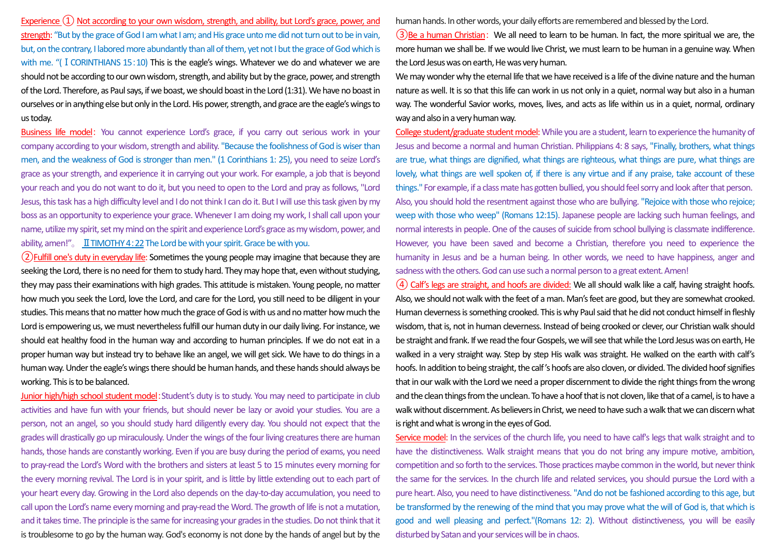Experience  $\Omega$  Not according to your own wisdom, strength, and ability, but Lord's grace, power, and strength: "But by the grace of God I am what I am; and His grace unto me did not turn out to be in vain, but, on the contrary, I labored more abundantly than all of them, yet not I but the grace of God which is with me. "(I CORINTHIANS 15:10) This is the eagle's wings. Whatever we do and whatever we are should not be according to our own wisdom, strength, and ability but by the grace, power, and strength of the Lord. Therefore, as Paul says, if we boast, we should boast in the Lord (1:31). We have no boast in ourselves or in anything else but only in the Lord. His power, strength, and grace are the eagle's wings to us today.

Business life model: You cannot experience Lord's grace, if you carry out serious work in your company according to your wisdom, strength and ability. "Because the foolishness of God is wiser than men, and the weakness of God is stronger than men." (1 Corinthians 1: 25), you need to seize Lord's grace as your strength, and experience it in carrying out your work. For example, a job that is beyond your reach and you do not want to do it, but you need to open to the Lord and pray as follows, "Lord Jesus, this task has a high difficulty level and I do not think I can do it. But I will use this task given by my boss as an opportunity to experience your grace. Whenever I am doing my work, I shall call upon your name, utilize my spirit, set my mind on the spirit and experience Lord's grace as my wisdom, power, and ability, amen!" ITIMOTHY 4:22 The Lord be with your spirit. Grace be with you.

②Fulfill one's duty in everyday life: Sometimes the young people may imagine that because they are seeking the Lord, there is no need for them to study hard. They may hope that, even without studying, they may pass their examinations with high grades. This attitude is mistaken. Young people, no matter how much you seek the Lord, love the Lord, and care for the Lord, you still need to be diligent in your studies. This means that no matter how much the grace of God is with us and no matter how much the Lord is empowering us, we must nevertheless fulfill our human duty in our daily living. For instance, we should eat healthy food in the human way and according to human principles. If we do not eat in a proper human way but instead try to behave like an angel, we will get sick. We have to do things in a human way. Under the eagle's wings there should be human hands, and these hands should always be working. This is to be balanced.

Junior high/high school student model: Student's duty is to study. You may need to participate in club activities and have fun with your friends, but should never be lazy or avoid your studies. You are a person, not an angel, so you should study hard diligently every day. You should not expect that the grades will drastically go up miraculously. Under the wings of the four living creatures there are human hands, those hands are constantly working. Even if you are busy during the period of exams, you need to pray-read the Lord's Word with the brothers and sisters at least 5 to 15 minutes every morning for the every morning revival. The Lord is in your spirit, and is little by little extending out to each part of your heart every day. Growing in the Lord also depends on the day-to-day accumulation, you need to call upon the Lord's name every morning and pray-read the Word. The growth of life is not a mutation, and it takes time. The principle is the same for increasing your grades in the studies. Do not think that it is troublesome to go by the human way. God's economy is not done by the hands of angel but by the

human hands. In other words, your daily efforts are remembered and blessed by the Lord.

③Be a human Christian: We all need to learn to be human. In fact, the more spiritual we are, the more human we shall be. If we would live Christ, we must learn to be human in a genuine way. When the Lord Jesus was on earth, He was very human.

We may wonder why the eternal life that we have received is a life of the divine nature and the human nature as well. It is so that this life can work in us not only in a quiet, normal way but also in a human way. The wonderful Savior works, moves, lives, and acts as life within us in a quiet, normal, ordinary way and also in a very human way.

College student/graduate student model: While you are a student, learn to experience the humanity of Jesus and become a normal and human Christian. Philippians 4: 8 says, "Finally, brothers, what things are true, what things are dignified, what things are righteous, what things are pure, what things are lovely, what things are well spoken of, if there is any virtue and if any praise, take account of these things." For example, if a class mate has gotten bullied, you should feel sorry and look after that person. Also, you should hold the resentment against those who are bullying. "Rejoice with those who rejoice; weep with those who weep" (Romans 12:15). Japanese people are lacking such human feelings, and normal interests in people. One of the causes of suicide from school bullying is classmate indifference. However, you have been saved and become a Christian, therefore you need to experience the humanity in Jesus and be a human being. In other words, we need to have happiness, anger and sadness with the others. God can use such a normal person to a great extent. Amen!

④Calf's legs are straight, and hoofs are divided: We all should walk like a calf, having straight hoofs. Also, we should not walk with the feet of a man. Man's feet are good, but they are somewhat crooked. Human cleverness is something crooked. This is why Paul said that he did not conduct himself in fleshly wisdom, that is, not in human cleverness. Instead of being crooked or clever, our Christian walk should be straight and frank. If we read the four Gospels, we will see that while the Lord Jesus was on earth, He walked in a very straight way. Step by step His walk was straight. He walked on the earth with calf's hoofs. In addition to being straight, the calf 's hoofs are also cloven, or divided. The divided hoof signifies that in our walk with the Lord we need a proper discernment to divide the right things from the wrong and the clean things from the unclean. To have a hoof that is not cloven, like that of a camel, is to have a walk without discernment. As believers in Christ, we need to have such a walk that we can discern what is right and what is wrong in the eyes of God.

Service model: In the services of the church life, you need to have calf's legs that walk straight and to have the distinctiveness. Walk straight means that you do not bring any impure motive, ambition, competition and so forth to the services. Those practices maybe common in the world, but never think the same for the services. In the church life and related services, you should pursue the Lord with a pure heart. Also, you need to have distinctiveness. "And do not be fashioned according to this age, but be transformed by the renewing of the mind that you may prove what the will of God is, that which is good and well pleasing and perfect."(Romans 12: 2). Without distinctiveness, you will be easily disturbed by Satan and your services will be in chaos.